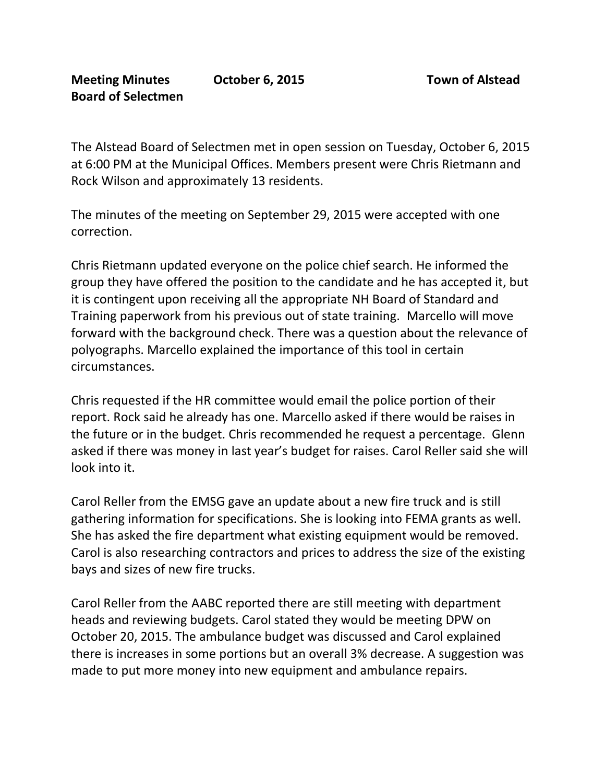The Alstead Board of Selectmen met in open session on Tuesday, October 6, 2015 at 6:00 PM at the Municipal Offices. Members present were Chris Rietmann and Rock Wilson and approximately 13 residents.

The minutes of the meeting on September 29, 2015 were accepted with one correction.

Chris Rietmann updated everyone on the police chief search. He informed the group they have offered the position to the candidate and he has accepted it, but it is contingent upon receiving all the appropriate NH Board of Standard and Training paperwork from his previous out of state training. Marcello will move forward with the background check. There was a question about the relevance of polyographs. Marcello explained the importance of this tool in certain circumstances.

Chris requested if the HR committee would email the police portion of their report. Rock said he already has one. Marcello asked if there would be raises in the future or in the budget. Chris recommended he request a percentage. Glenn asked if there was money in last year's budget for raises. Carol Reller said she will look into it.

Carol Reller from the EMSG gave an update about a new fire truck and is still gathering information for specifications. She is looking into FEMA grants as well. She has asked the fire department what existing equipment would be removed. Carol is also researching contractors and prices to address the size of the existing bays and sizes of new fire trucks.

Carol Reller from the AABC reported there are still meeting with department heads and reviewing budgets. Carol stated they would be meeting DPW on October 20, 2015. The ambulance budget was discussed and Carol explained there is increases in some portions but an overall 3% decrease. A suggestion was made to put more money into new equipment and ambulance repairs.